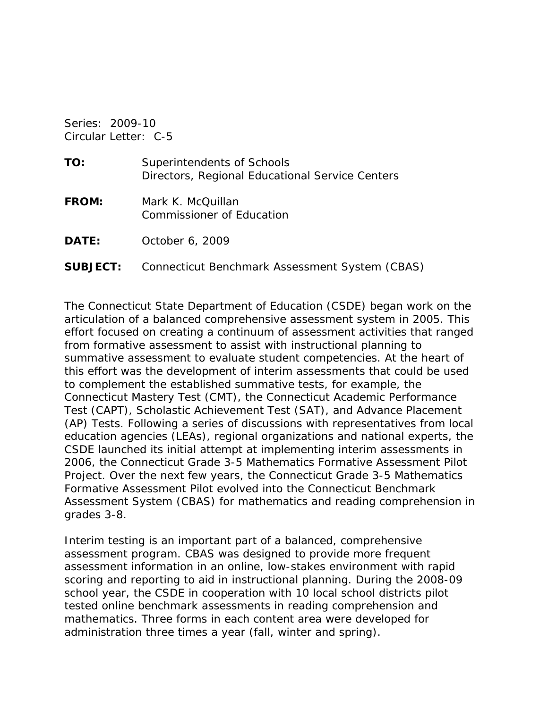Series: 2009-10 Circular Letter: C-5

| TO:          | Superintendents of Schools<br>Directors, Regional Educational Service Centers |
|--------------|-------------------------------------------------------------------------------|
| <b>FROM:</b> | Mark K. McQuillan<br>Commissioner of Education                                |
| <b>DATE:</b> | October 6, 2009                                                               |

**SUBJECT:** Connecticut Benchmark Assessment System (CBAS)

The Connecticut State Department of Education (CSDE) began work on the articulation of a balanced comprehensive assessment system in 2005. This effort focused on creating a continuum of assessment activities that ranged from formative assessment to assist with instructional planning to summative assessment to evaluate student competencies. At the heart of this effort was the development of interim assessments that could be used to complement the established summative tests, for example, the Connecticut Mastery Test (CMT), the Connecticut Academic Performance Test (CAPT), Scholastic Achievement Test (SAT), and Advance Placement (AP) Tests. Following a series of discussions with representatives from local education agencies (LEAs), regional organizations and national experts, the CSDE launched its initial attempt at implementing interim assessments in 2006, the Connecticut Grade 3-5 Mathematics Formative Assessment Pilot Project. Over the next few years, the Connecticut Grade 3-5 Mathematics Formative Assessment Pilot evolved into the Connecticut Benchmark Assessment System (CBAS) for mathematics and reading comprehension in grades 3-8.

Interim testing is an important part of a balanced, comprehensive assessment program. CBAS was designed to provide more frequent assessment information in an online, low-stakes environment with rapid scoring and reporting to aid in instructional planning. During the 2008-09 school year, the CSDE in cooperation with 10 local school districts pilot tested online benchmark assessments in reading comprehension and mathematics. Three forms in each content area were developed for administration three times a year (fall, winter and spring).